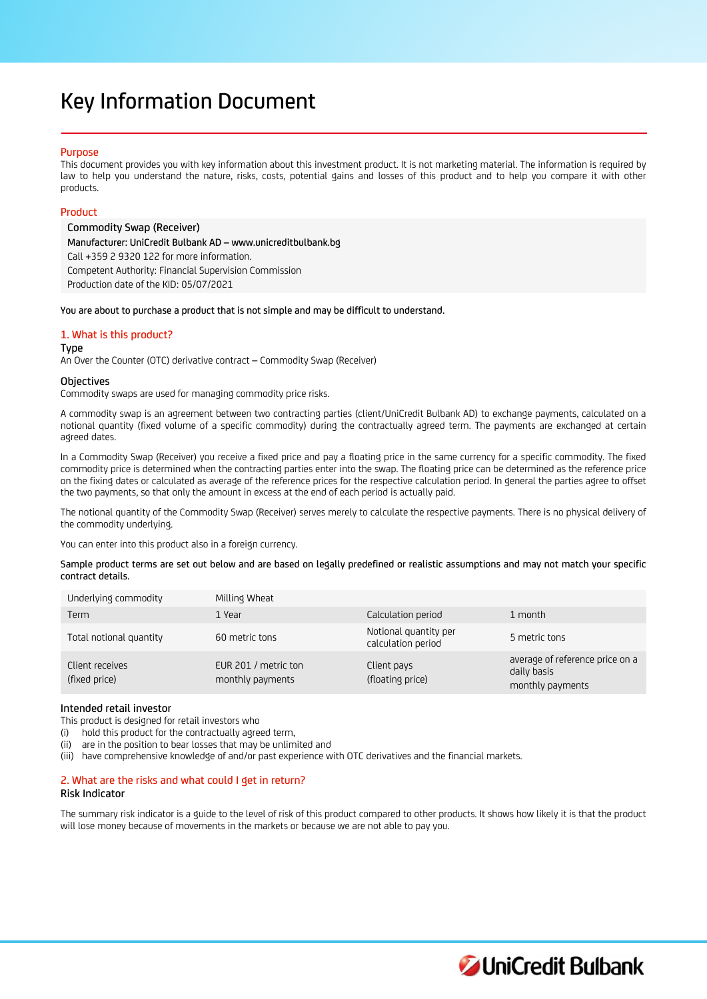# Key Information Document

## Purpose

This document provides you with key information about this investment product. It is not marketing material. The information is required by law to help you understand the nature, risks, costs, potential gains and losses of this product and to help you compare it with other products.

# Product

Commodity Swap (Receiver) Manufacturer: UniCredit Bulbank AD – www.unicreditbulbank.bg Call +359 2 9320 122 for more information. Competent Authority: Financial Supervision Commission Production date of the KID: 05/07/2021

You are about to purchase a product that is not simple and may be difficult to understand.

# 1. What is this product?

#### Type

An Over the Counter (OTC) derivative contract – Commodity Swap (Receiver)

## **Objectives**

Commodity swaps are used for managing commodity price risks.

A commodity swap is an agreement between two contracting parties (client/UniCredit Bulbank AD) to exchange payments, calculated on a notional quantity (fixed volume of a specific commodity) during the contractually agreed term. The payments are exchanged at certain agreed dates.

In a Commodity Swap (Receiver) you receive a fixed price and pay a floating price in the same currency for a specific commodity. The fixed commodity price is determined when the contracting parties enter into the swap. The floating price can be determined as the reference price on the fixing dates or calculated as average of the reference prices for the respective calculation period. In general the parties agree to offset the two payments, so that only the amount in excess at the end of each period is actually paid.

The notional quantity of the Commodity Swap (Receiver) serves merely to calculate the respective payments. There is no physical delivery of the commodity underlying.

You can enter into this product also in a foreign currency.

Sample product terms are set out below and are based on legally predefined or realistic assumptions and may not match your specific contract details.

| Underlying commodity             | Milling Wheat                            |                                             |                                                                    |
|----------------------------------|------------------------------------------|---------------------------------------------|--------------------------------------------------------------------|
| Term                             | 1 Year                                   | Calculation period                          | 1 month                                                            |
| Total notional quantity          | 60 metric tons                           | Notional quantity per<br>calculation period | 5 metric tons                                                      |
| Client receives<br>(fixed price) | EUR 201 / metric ton<br>monthly payments | Client pays<br>(floating price)             | average of reference price on a<br>daily basis<br>monthly payments |

## Intended retail investor

This product is designed for retail investors who

(i) hold this product for the contractually agreed term,

(ii) are in the position to bear losses that may be unlimited and

(iii) have comprehensive knowledge of and/or past experience with OTC derivatives and the financial markets.

# 2. What are the risks and what could I get in return?

## Risk Indicator

The summary risk indicator is a guide to the level of risk of this product compared to other products. It shows how likely it is that the product will lose money because of movements in the markets or because we are not able to pay you.

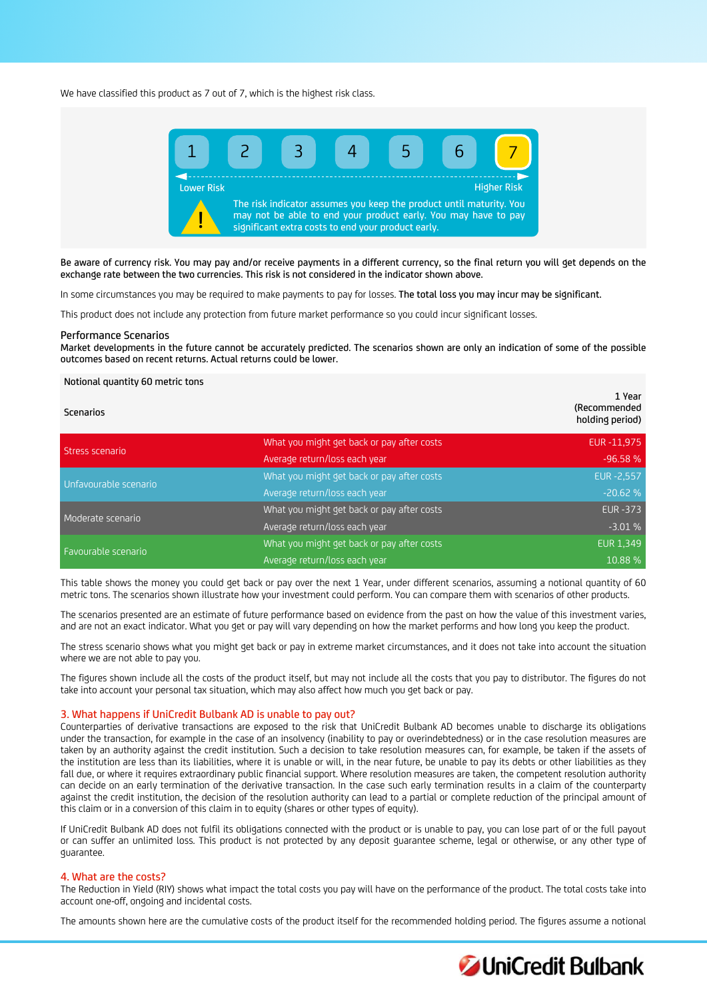We have classified this product as 7 out of 7, which is the highest risk class.



Be aware of currency risk. You may pay and/or receive payments in a different currency, so the final return you will get depends on the exchange rate between the two currencies. This risk is not considered in the indicator shown above.

In some circumstances you may be required to make payments to pay for losses. The total loss you may incur may be significant.

This product does not include any protection from future market performance so you could incur significant losses.

#### Performance Scenarios

Market developments in the future cannot be accurately predicted. The scenarios shown are only an indication of some of the possible outcomes based on recent returns. Actual returns could be lower.

#### Notional quantity 60 metric tons

| <b>Scenarios</b>      |                                            | 1 Year<br>(Recommended<br>holding period) |
|-----------------------|--------------------------------------------|-------------------------------------------|
| Stress scenario       | What you might get back or pay after costs | EUR-11,975                                |
|                       | Average return/loss each year              | $-96.58%$                                 |
| Unfavourable scenario | What you might get back or pay after costs | <b>EUR -2,557</b>                         |
|                       | Average return/loss each year              | $-20.62%$                                 |
| Moderate scenario     | What you might get back or pay after costs | <b>EUR -373</b>                           |
|                       | Average return/loss each year              | $-3.01%$                                  |
| Favourable scenario   | What you might get back or pay after costs | <b>EUR 1,349</b>                          |
|                       | Average return/loss each year              | 10.88 %                                   |

This table shows the money you could get back or pay over the next 1 Year, under different scenarios, assuming a notional quantity of 60 metric tons. The scenarios shown illustrate how your investment could perform. You can compare them with scenarios of other products.

The scenarios presented are an estimate of future performance based on evidence from the past on how the value of this investment varies, and are not an exact indicator. What you get or pay will vary depending on how the market performs and how long you keep the product.

The stress scenario shows what you might get back or pay in extreme market circumstances, and it does not take into account the situation where we are not able to pay you.

The figures shown include all the costs of the product itself, but may not include all the costs that you pay to distributor. The figures do not take into account your personal tax situation, which may also affect how much you get back or pay.

#### 3. What happens if UniCredit Bulbank AD is unable to pay out?

Counterparties of derivative transactions are exposed to the risk that UniCredit Bulbank AD becomes unable to discharge its obligations under the transaction, for example in the case of an insolvency (inability to pay or overindebtedness) or in the case resolution measures are taken by an authority against the credit institution. Such a decision to take resolution measures can, for example, be taken if the assets of the institution are less than its liabilities, where it is unable or will, in the near future, be unable to pay its debts or other liabilities as they fall due, or where it requires extraordinary public financial support. Where resolution measures are taken, the competent resolution authority can decide on an early termination of the derivative transaction. In the case such early termination results in a claim of the counterparty against the credit institution, the decision of the resolution authority can lead to a partial or complete reduction of the principal amount of this claim or in a conversion of this claim in to equity (shares or other types of equity).

If UniCredit Bulbank AD does not fulfil its obligations connected with the product or is unable to pay, you can lose part of or the full payout or can suffer an unlimited loss. This product is not protected by any deposit guarantee scheme, legal or otherwise, or any other type of guarantee.

# 4. What are the costs?

The Reduction in Yield (RIY) shows what impact the total costs you pay will have on the performance of the product. The total costs take into account one-off, ongoing and incidental costs.

The amounts shown here are the cumulative costs of the product itself for the recommended holding period. The figures assume a notional